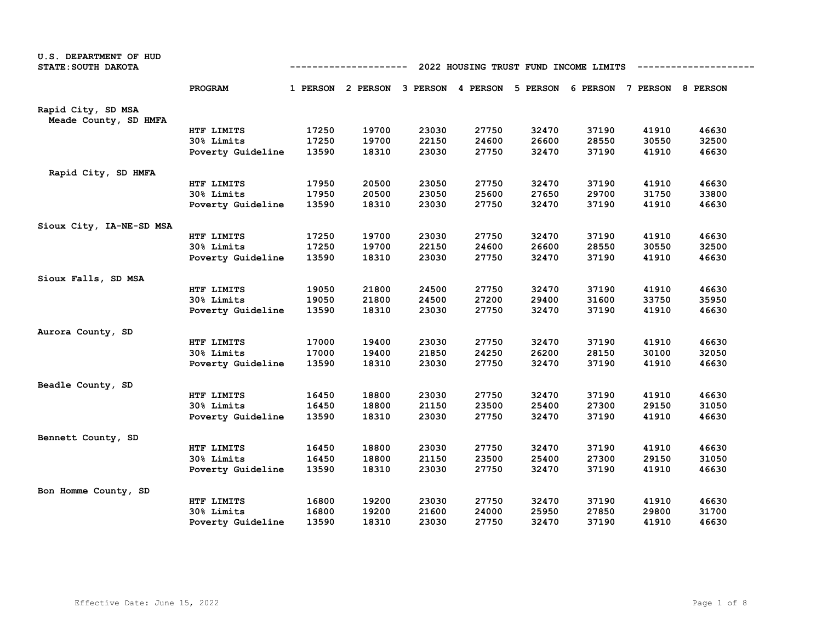| U.S. DEPARTMENT OF HUD   |                   |                                                                                                                                                                                                                                                                                                                                                                                                                                                                                                                                                                                                                                                                                                                                                                                                                                                                                                                                                                                                                                                                                                                                                                                                                                                                                                                                                                                                                                                                                                                                                                                                                                                                                                         |       |       |       |       |       |       |       |
|--------------------------|-------------------|---------------------------------------------------------------------------------------------------------------------------------------------------------------------------------------------------------------------------------------------------------------------------------------------------------------------------------------------------------------------------------------------------------------------------------------------------------------------------------------------------------------------------------------------------------------------------------------------------------------------------------------------------------------------------------------------------------------------------------------------------------------------------------------------------------------------------------------------------------------------------------------------------------------------------------------------------------------------------------------------------------------------------------------------------------------------------------------------------------------------------------------------------------------------------------------------------------------------------------------------------------------------------------------------------------------------------------------------------------------------------------------------------------------------------------------------------------------------------------------------------------------------------------------------------------------------------------------------------------------------------------------------------------------------------------------------------------|-------|-------|-------|-------|-------|-------|-------|
| STATE: SOUTH DAKOTA      |                   | 2022 HOUSING TRUST FUND INCOME LIMITS<br>-----------<br>1 PERSON 2 PERSON 3 PERSON 4 PERSON 5 PERSON 6 PERSON 7 PERSON 8 PERSON<br>27750<br>32470<br>37190<br>41910<br>46630<br>17250<br>19700<br>23030<br>17250<br>19700<br>24600<br>26600<br>28550<br>30550<br>32500<br>22150<br>18310<br>23030<br>27750<br>32470<br>37190<br>41910<br>46630<br>13590<br>37190<br>17950<br>20500<br>23050<br>27750<br>32470<br>41910<br>46630<br>17950<br>20500<br>23050<br>25600<br>27650<br>29700<br>31750<br>33800<br>46630<br>13590<br>18310<br>23030<br>27750<br>32470<br>37190<br>41910<br>19700<br>27750<br>32470<br>37190<br>41910<br>46630<br>17250<br>23030<br>17250<br>19700<br>22150<br>26600<br>28550<br>30550<br>32500<br>24600<br>13590<br>18310<br>23030<br>27750<br>32470<br>37190<br>41910<br>46630<br>27750<br>32470<br>37190<br>41910<br>46630<br>19050<br>21800<br>24500<br>21800<br>27200<br>29400<br>31600<br>33750<br>35950<br>19050<br>24500<br>18310<br>23030<br>27750<br>32470<br>37190<br>41910<br>46630<br>13590<br>17000<br>27750<br>32470<br>37190<br>41910<br>46630<br>19400<br>23030<br>17000<br>19400<br>21850<br>24250<br>26200<br>28150<br>30100<br>32050<br>13590<br>18310<br>23030<br>27750<br>32470<br>37190<br>41910<br>46630<br>27750<br>32470<br>37190<br>41910<br>46630<br>16450<br>18800<br>23030<br>18800<br>23500<br>25400<br>27300<br>29150<br>31050<br>16450<br>21150<br>27750<br>37190<br>41910<br>46630<br>13590<br>18310<br>23030<br>32470<br>46630<br>16450<br>18800<br>23030<br>27750<br>32470<br>37190<br>41910<br>16450<br>18800<br>21150<br>23500<br>25400<br>27300<br>29150<br>31050<br>18310<br>23030<br>27750<br>32470<br>37190<br>46630<br>13590<br>41910 |       |       |       |       |       |       |       |
|                          | PROGRAM           |                                                                                                                                                                                                                                                                                                                                                                                                                                                                                                                                                                                                                                                                                                                                                                                                                                                                                                                                                                                                                                                                                                                                                                                                                                                                                                                                                                                                                                                                                                                                                                                                                                                                                                         |       |       |       |       |       |       |       |
| Rapid City, SD MSA       |                   |                                                                                                                                                                                                                                                                                                                                                                                                                                                                                                                                                                                                                                                                                                                                                                                                                                                                                                                                                                                                                                                                                                                                                                                                                                                                                                                                                                                                                                                                                                                                                                                                                                                                                                         |       |       |       |       |       |       |       |
| Meade County, SD HMFA    |                   |                                                                                                                                                                                                                                                                                                                                                                                                                                                                                                                                                                                                                                                                                                                                                                                                                                                                                                                                                                                                                                                                                                                                                                                                                                                                                                                                                                                                                                                                                                                                                                                                                                                                                                         |       |       |       |       |       |       |       |
|                          | HTF LIMITS        |                                                                                                                                                                                                                                                                                                                                                                                                                                                                                                                                                                                                                                                                                                                                                                                                                                                                                                                                                                                                                                                                                                                                                                                                                                                                                                                                                                                                                                                                                                                                                                                                                                                                                                         |       |       |       |       |       |       |       |
|                          | 30% Limits        |                                                                                                                                                                                                                                                                                                                                                                                                                                                                                                                                                                                                                                                                                                                                                                                                                                                                                                                                                                                                                                                                                                                                                                                                                                                                                                                                                                                                                                                                                                                                                                                                                                                                                                         |       |       |       |       |       |       |       |
|                          | Poverty Guideline |                                                                                                                                                                                                                                                                                                                                                                                                                                                                                                                                                                                                                                                                                                                                                                                                                                                                                                                                                                                                                                                                                                                                                                                                                                                                                                                                                                                                                                                                                                                                                                                                                                                                                                         |       |       |       |       |       |       |       |
| Rapid City, SD HMFA      |                   |                                                                                                                                                                                                                                                                                                                                                                                                                                                                                                                                                                                                                                                                                                                                                                                                                                                                                                                                                                                                                                                                                                                                                                                                                                                                                                                                                                                                                                                                                                                                                                                                                                                                                                         |       |       |       |       |       |       |       |
|                          | HTF LIMITS        |                                                                                                                                                                                                                                                                                                                                                                                                                                                                                                                                                                                                                                                                                                                                                                                                                                                                                                                                                                                                                                                                                                                                                                                                                                                                                                                                                                                                                                                                                                                                                                                                                                                                                                         |       |       |       |       |       |       |       |
|                          | 30% Limits        |                                                                                                                                                                                                                                                                                                                                                                                                                                                                                                                                                                                                                                                                                                                                                                                                                                                                                                                                                                                                                                                                                                                                                                                                                                                                                                                                                                                                                                                                                                                                                                                                                                                                                                         |       |       |       |       |       |       |       |
|                          | Poverty Guideline |                                                                                                                                                                                                                                                                                                                                                                                                                                                                                                                                                                                                                                                                                                                                                                                                                                                                                                                                                                                                                                                                                                                                                                                                                                                                                                                                                                                                                                                                                                                                                                                                                                                                                                         |       |       |       |       |       |       |       |
| Sioux City, IA-NE-SD MSA |                   |                                                                                                                                                                                                                                                                                                                                                                                                                                                                                                                                                                                                                                                                                                                                                                                                                                                                                                                                                                                                                                                                                                                                                                                                                                                                                                                                                                                                                                                                                                                                                                                                                                                                                                         |       |       |       |       |       |       |       |
|                          | HTF LIMITS        |                                                                                                                                                                                                                                                                                                                                                                                                                                                                                                                                                                                                                                                                                                                                                                                                                                                                                                                                                                                                                                                                                                                                                                                                                                                                                                                                                                                                                                                                                                                                                                                                                                                                                                         |       |       |       |       |       |       |       |
|                          | 30% Limits        |                                                                                                                                                                                                                                                                                                                                                                                                                                                                                                                                                                                                                                                                                                                                                                                                                                                                                                                                                                                                                                                                                                                                                                                                                                                                                                                                                                                                                                                                                                                                                                                                                                                                                                         |       |       |       |       |       |       |       |
|                          | Poverty Guideline |                                                                                                                                                                                                                                                                                                                                                                                                                                                                                                                                                                                                                                                                                                                                                                                                                                                                                                                                                                                                                                                                                                                                                                                                                                                                                                                                                                                                                                                                                                                                                                                                                                                                                                         |       |       |       |       |       |       |       |
| Sioux Falls, SD MSA      |                   |                                                                                                                                                                                                                                                                                                                                                                                                                                                                                                                                                                                                                                                                                                                                                                                                                                                                                                                                                                                                                                                                                                                                                                                                                                                                                                                                                                                                                                                                                                                                                                                                                                                                                                         |       |       |       |       |       |       |       |
|                          | HTF LIMITS        |                                                                                                                                                                                                                                                                                                                                                                                                                                                                                                                                                                                                                                                                                                                                                                                                                                                                                                                                                                                                                                                                                                                                                                                                                                                                                                                                                                                                                                                                                                                                                                                                                                                                                                         |       |       |       |       |       |       |       |
|                          | 30% Limits        |                                                                                                                                                                                                                                                                                                                                                                                                                                                                                                                                                                                                                                                                                                                                                                                                                                                                                                                                                                                                                                                                                                                                                                                                                                                                                                                                                                                                                                                                                                                                                                                                                                                                                                         |       |       |       |       |       |       |       |
|                          | Poverty Guideline |                                                                                                                                                                                                                                                                                                                                                                                                                                                                                                                                                                                                                                                                                                                                                                                                                                                                                                                                                                                                                                                                                                                                                                                                                                                                                                                                                                                                                                                                                                                                                                                                                                                                                                         |       |       |       |       |       |       |       |
|                          |                   |                                                                                                                                                                                                                                                                                                                                                                                                                                                                                                                                                                                                                                                                                                                                                                                                                                                                                                                                                                                                                                                                                                                                                                                                                                                                                                                                                                                                                                                                                                                                                                                                                                                                                                         |       |       |       |       |       |       |       |
| Aurora County, SD        |                   |                                                                                                                                                                                                                                                                                                                                                                                                                                                                                                                                                                                                                                                                                                                                                                                                                                                                                                                                                                                                                                                                                                                                                                                                                                                                                                                                                                                                                                                                                                                                                                                                                                                                                                         |       |       |       |       |       |       |       |
|                          | HTF LIMITS        |                                                                                                                                                                                                                                                                                                                                                                                                                                                                                                                                                                                                                                                                                                                                                                                                                                                                                                                                                                                                                                                                                                                                                                                                                                                                                                                                                                                                                                                                                                                                                                                                                                                                                                         |       |       |       |       |       |       |       |
|                          | 30% Limits        |                                                                                                                                                                                                                                                                                                                                                                                                                                                                                                                                                                                                                                                                                                                                                                                                                                                                                                                                                                                                                                                                                                                                                                                                                                                                                                                                                                                                                                                                                                                                                                                                                                                                                                         |       |       |       |       |       |       |       |
|                          | Poverty Guideline |                                                                                                                                                                                                                                                                                                                                                                                                                                                                                                                                                                                                                                                                                                                                                                                                                                                                                                                                                                                                                                                                                                                                                                                                                                                                                                                                                                                                                                                                                                                                                                                                                                                                                                         |       |       |       |       |       |       |       |
| Beadle County, SD        |                   |                                                                                                                                                                                                                                                                                                                                                                                                                                                                                                                                                                                                                                                                                                                                                                                                                                                                                                                                                                                                                                                                                                                                                                                                                                                                                                                                                                                                                                                                                                                                                                                                                                                                                                         |       |       |       |       |       |       |       |
|                          | HTF LIMITS        |                                                                                                                                                                                                                                                                                                                                                                                                                                                                                                                                                                                                                                                                                                                                                                                                                                                                                                                                                                                                                                                                                                                                                                                                                                                                                                                                                                                                                                                                                                                                                                                                                                                                                                         |       |       |       |       |       |       |       |
|                          | 30% Limits        |                                                                                                                                                                                                                                                                                                                                                                                                                                                                                                                                                                                                                                                                                                                                                                                                                                                                                                                                                                                                                                                                                                                                                                                                                                                                                                                                                                                                                                                                                                                                                                                                                                                                                                         |       |       |       |       |       |       |       |
|                          | Poverty Guideline |                                                                                                                                                                                                                                                                                                                                                                                                                                                                                                                                                                                                                                                                                                                                                                                                                                                                                                                                                                                                                                                                                                                                                                                                                                                                                                                                                                                                                                                                                                                                                                                                                                                                                                         |       |       |       |       |       |       |       |
| Bennett County, SD       |                   |                                                                                                                                                                                                                                                                                                                                                                                                                                                                                                                                                                                                                                                                                                                                                                                                                                                                                                                                                                                                                                                                                                                                                                                                                                                                                                                                                                                                                                                                                                                                                                                                                                                                                                         |       |       |       |       |       |       |       |
|                          | HTF LIMITS        |                                                                                                                                                                                                                                                                                                                                                                                                                                                                                                                                                                                                                                                                                                                                                                                                                                                                                                                                                                                                                                                                                                                                                                                                                                                                                                                                                                                                                                                                                                                                                                                                                                                                                                         |       |       |       |       |       |       |       |
|                          | 30% Limits        |                                                                                                                                                                                                                                                                                                                                                                                                                                                                                                                                                                                                                                                                                                                                                                                                                                                                                                                                                                                                                                                                                                                                                                                                                                                                                                                                                                                                                                                                                                                                                                                                                                                                                                         |       |       |       |       |       |       |       |
|                          | Poverty Guideline |                                                                                                                                                                                                                                                                                                                                                                                                                                                                                                                                                                                                                                                                                                                                                                                                                                                                                                                                                                                                                                                                                                                                                                                                                                                                                                                                                                                                                                                                                                                                                                                                                                                                                                         |       |       |       |       |       |       |       |
| Bon Homme County, SD     |                   |                                                                                                                                                                                                                                                                                                                                                                                                                                                                                                                                                                                                                                                                                                                                                                                                                                                                                                                                                                                                                                                                                                                                                                                                                                                                                                                                                                                                                                                                                                                                                                                                                                                                                                         |       |       |       |       |       |       |       |
|                          | HTF LIMITS        | 16800                                                                                                                                                                                                                                                                                                                                                                                                                                                                                                                                                                                                                                                                                                                                                                                                                                                                                                                                                                                                                                                                                                                                                                                                                                                                                                                                                                                                                                                                                                                                                                                                                                                                                                   | 19200 | 23030 | 27750 | 32470 | 37190 | 41910 | 46630 |
|                          | 30% Limits        | 16800                                                                                                                                                                                                                                                                                                                                                                                                                                                                                                                                                                                                                                                                                                                                                                                                                                                                                                                                                                                                                                                                                                                                                                                                                                                                                                                                                                                                                                                                                                                                                                                                                                                                                                   | 19200 | 21600 | 24000 | 25950 | 27850 | 29800 | 31700 |
|                          | Poverty Guideline | 13590                                                                                                                                                                                                                                                                                                                                                                                                                                                                                                                                                                                                                                                                                                                                                                                                                                                                                                                                                                                                                                                                                                                                                                                                                                                                                                                                                                                                                                                                                                                                                                                                                                                                                                   | 18310 | 23030 | 27750 | 32470 | 37190 | 41910 | 46630 |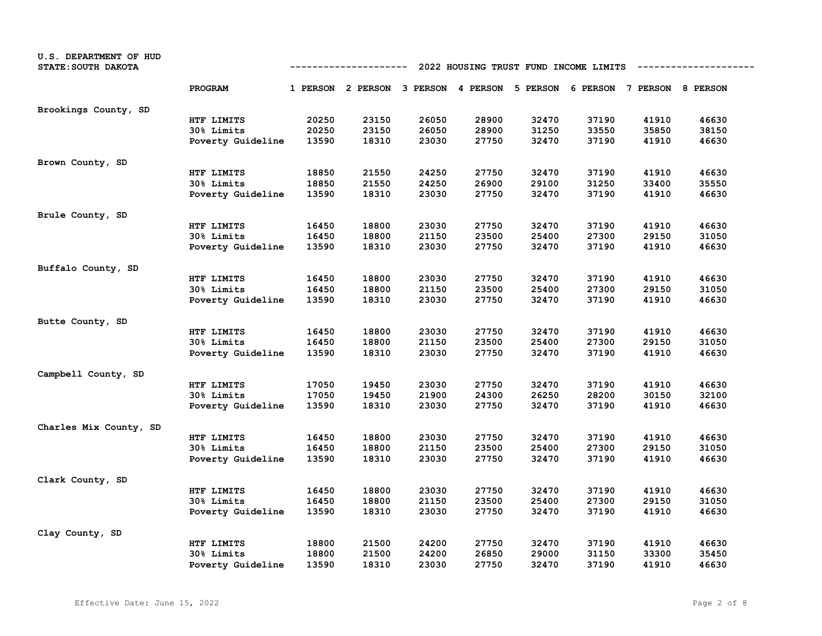| U.S. DEPARTMENT OF HUD<br>STATE: SOUTH DAKOTA |                   | 2022 HOUSING TRUST FUND INCOME LIMITS<br>---------- |                                                                         |       |       |       |       |       |       |
|-----------------------------------------------|-------------------|-----------------------------------------------------|-------------------------------------------------------------------------|-------|-------|-------|-------|-------|-------|
|                                               | PROGRAM           |                                                     | 1 PERSON 2 PERSON 3 PERSON 4 PERSON 5 PERSON 6 PERSON 7 PERSON 8 PERSON |       |       |       |       |       |       |
| Brookings County, SD                          |                   |                                                     |                                                                         |       |       |       |       |       |       |
|                                               | HTF LIMITS        | 20250                                               | 23150                                                                   | 26050 | 28900 | 32470 | 37190 | 41910 | 46630 |
|                                               | 30% Limits        | 20250                                               | 23150                                                                   | 26050 | 28900 | 31250 | 33550 | 35850 | 38150 |
|                                               | Poverty Guideline | 13590                                               | 18310                                                                   | 23030 | 27750 | 32470 | 37190 | 41910 | 46630 |
| Brown County, SD                              |                   |                                                     |                                                                         |       |       |       |       |       |       |
|                                               | HTF LIMITS        | 18850                                               | 21550                                                                   | 24250 | 27750 | 32470 | 37190 | 41910 | 46630 |
|                                               | 30% Limits        | 18850                                               | 21550                                                                   | 24250 | 26900 | 29100 | 31250 | 33400 | 35550 |
|                                               | Poverty Guideline | 13590                                               | 18310                                                                   | 23030 | 27750 | 32470 | 37190 | 41910 | 46630 |
| Brule County, SD                              |                   |                                                     |                                                                         |       |       |       |       |       |       |
|                                               | HTF LIMITS        | 16450                                               | 18800                                                                   | 23030 | 27750 | 32470 | 37190 | 41910 | 46630 |
|                                               | 30% Limits        | 16450                                               | 18800                                                                   | 21150 | 23500 | 25400 | 27300 | 29150 | 31050 |
|                                               | Poverty Guideline | 13590                                               | 18310                                                                   | 23030 | 27750 | 32470 | 37190 | 41910 | 46630 |
| Buffalo County, SD                            |                   |                                                     |                                                                         |       |       |       |       |       |       |
|                                               | HTF LIMITS        | 16450                                               | 18800                                                                   | 23030 | 27750 | 32470 | 37190 | 41910 | 46630 |
|                                               | 30% Limits        | 16450                                               | 18800                                                                   | 21150 | 23500 | 25400 | 27300 | 29150 | 31050 |
|                                               | Poverty Guideline | 13590                                               | 18310                                                                   | 23030 | 27750 | 32470 | 37190 | 41910 | 46630 |
| Butte County, SD                              |                   |                                                     |                                                                         |       |       |       |       |       |       |
|                                               | HTF LIMITS        | 16450                                               | 18800                                                                   | 23030 | 27750 | 32470 | 37190 | 41910 | 46630 |
|                                               | 30% Limits        | 16450                                               | 18800                                                                   | 21150 | 23500 | 25400 | 27300 | 29150 | 31050 |
|                                               | Poverty Guideline | 13590                                               | 18310                                                                   | 23030 | 27750 | 32470 | 37190 | 41910 | 46630 |
| Campbell County, SD                           |                   |                                                     |                                                                         |       |       |       |       |       |       |
|                                               | HTF LIMITS        | 17050                                               | 19450                                                                   | 23030 | 27750 | 32470 | 37190 | 41910 | 46630 |
|                                               | 30% Limits        | 17050                                               | 19450                                                                   | 21900 | 24300 | 26250 | 28200 | 30150 | 32100 |
|                                               | Poverty Guideline | 13590                                               | 18310                                                                   | 23030 | 27750 | 32470 | 37190 | 41910 | 46630 |
| Charles Mix County, SD                        |                   |                                                     |                                                                         |       |       |       |       |       |       |
|                                               | HTF LIMITS        | 16450                                               | 18800                                                                   | 23030 | 27750 | 32470 | 37190 | 41910 | 46630 |
|                                               | 30% Limits        | 16450                                               | 18800                                                                   | 21150 | 23500 | 25400 | 27300 | 29150 | 31050 |
|                                               | Poverty Guideline | 13590                                               | 18310                                                                   | 23030 | 27750 | 32470 | 37190 | 41910 | 46630 |
| Clark County, SD                              |                   |                                                     |                                                                         |       |       |       |       |       |       |
|                                               | HTF LIMITS        | 16450                                               | 18800                                                                   | 23030 | 27750 | 32470 | 37190 | 41910 | 46630 |
|                                               | 30% Limits        | 16450                                               | 18800                                                                   | 21150 | 23500 | 25400 | 27300 | 29150 | 31050 |
|                                               | Poverty Guideline | 13590                                               | 18310                                                                   | 23030 | 27750 | 32470 | 37190 | 41910 | 46630 |
| Clay County, SD                               |                   |                                                     |                                                                         |       |       |       |       |       |       |
|                                               | HTF LIMITS        | 18800                                               | 21500                                                                   | 24200 | 27750 | 32470 | 37190 | 41910 | 46630 |
|                                               | 30% Limits        | 18800                                               | 21500                                                                   | 24200 | 26850 | 29000 | 31150 | 33300 | 35450 |
|                                               | Poverty Guideline | 13590                                               | 18310                                                                   | 23030 | 27750 | 32470 | 37190 | 41910 | 46630 |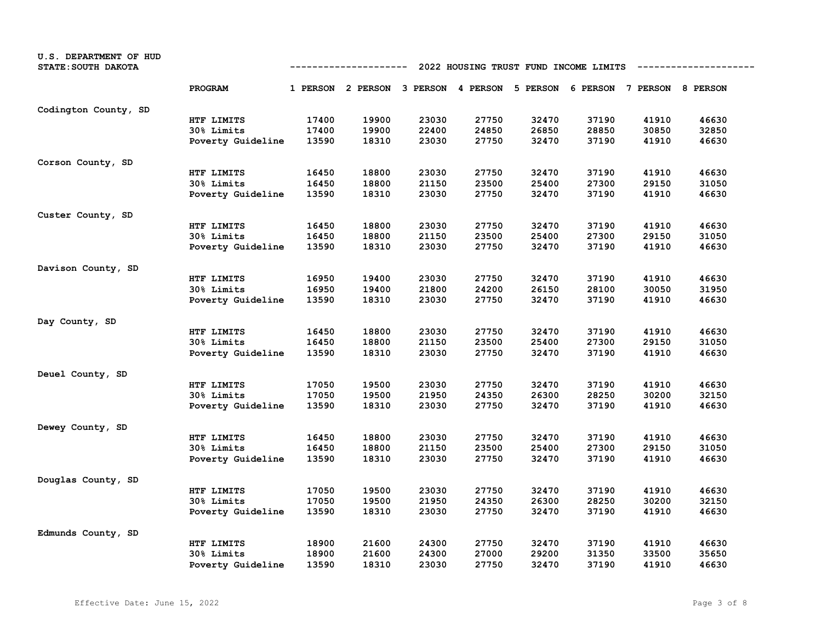| U.S. DEPARTMENT OF HUD<br>STATE: SOUTH DAKOTA |                   | 2022 HOUSING TRUST FUND INCOME LIMITS<br>---------- |                                              |       |       |       |       |                            |       |
|-----------------------------------------------|-------------------|-----------------------------------------------------|----------------------------------------------|-------|-------|-------|-------|----------------------------|-------|
|                                               | PROGRAM           |                                                     | 1 PERSON 2 PERSON 3 PERSON 4 PERSON 5 PERSON |       |       |       |       | 6 PERSON 7 PERSON 8 PERSON |       |
| Codington County, SD                          |                   |                                                     |                                              |       |       |       |       |                            |       |
|                                               | HTF LIMITS        | 17400                                               | 19900                                        | 23030 | 27750 | 32470 | 37190 | 41910                      | 46630 |
|                                               | 30% Limits        | 17400                                               | 19900                                        | 22400 | 24850 | 26850 | 28850 | 30850                      | 32850 |
|                                               | Poverty Guideline | 13590                                               | 18310                                        | 23030 | 27750 | 32470 | 37190 | 41910                      | 46630 |
| Corson County, SD                             |                   |                                                     |                                              |       |       |       |       |                            |       |
|                                               | HTF LIMITS        | 16450                                               | 18800                                        | 23030 | 27750 | 32470 | 37190 | 41910                      | 46630 |
|                                               | 30% Limits        | 16450                                               | 18800                                        | 21150 | 23500 | 25400 | 27300 | 29150                      | 31050 |
|                                               | Poverty Guideline | 13590                                               | 18310                                        | 23030 | 27750 | 32470 | 37190 | 41910                      | 46630 |
| Custer County, SD                             |                   |                                                     |                                              |       |       |       |       |                            |       |
|                                               | HTF LIMITS        | 16450                                               | 18800                                        | 23030 | 27750 | 32470 | 37190 | 41910                      | 46630 |
|                                               | 30% Limits        | 16450                                               | 18800                                        | 21150 | 23500 | 25400 | 27300 | 29150                      | 31050 |
|                                               | Poverty Guideline | 13590                                               | 18310                                        | 23030 | 27750 | 32470 | 37190 | 41910                      | 46630 |
| Davison County, SD                            |                   |                                                     |                                              |       |       |       |       |                            |       |
|                                               | HTF LIMITS        | 16950                                               | 19400                                        | 23030 | 27750 | 32470 | 37190 | 41910                      | 46630 |
|                                               | 30% Limits        | 16950                                               | 19400                                        | 21800 | 24200 | 26150 | 28100 | 30050                      | 31950 |
|                                               | Poverty Guideline | 13590                                               | 18310                                        | 23030 | 27750 | 32470 | 37190 | 41910                      | 46630 |
| Day County, SD                                |                   |                                                     |                                              |       |       |       |       |                            |       |
|                                               | HTF LIMITS        | 16450                                               | 18800                                        | 23030 | 27750 | 32470 | 37190 | 41910                      | 46630 |
|                                               | 30% Limits        | 16450                                               | 18800                                        | 21150 | 23500 | 25400 | 27300 | 29150                      | 31050 |
|                                               | Poverty Guideline | 13590                                               | 18310                                        | 23030 | 27750 | 32470 | 37190 | 41910                      | 46630 |
| Deuel County, SD                              |                   |                                                     |                                              |       |       |       |       |                            |       |
|                                               | HTF LIMITS        | 17050                                               | 19500                                        | 23030 | 27750 | 32470 | 37190 | 41910                      | 46630 |
|                                               | <b>30% Limits</b> | 17050                                               | 19500                                        | 21950 | 24350 | 26300 | 28250 | 30200                      | 32150 |
|                                               | Poverty Guideline | 13590                                               | 18310                                        | 23030 | 27750 | 32470 | 37190 | 41910                      | 46630 |
| Dewey County, SD                              |                   |                                                     |                                              |       |       |       |       |                            |       |
|                                               | HTF LIMITS        | 16450                                               | 18800                                        | 23030 | 27750 | 32470 | 37190 | 41910                      | 46630 |
|                                               | 30% Limits        | 16450                                               | 18800                                        | 21150 | 23500 | 25400 | 27300 | 29150                      | 31050 |
|                                               | Poverty Guideline | 13590                                               | 18310                                        | 23030 | 27750 | 32470 | 37190 | 41910                      | 46630 |
| Douglas County, SD                            |                   |                                                     |                                              |       |       |       |       |                            |       |
|                                               | HTF LIMITS        | 17050                                               | 19500                                        | 23030 | 27750 | 32470 | 37190 | 41910                      | 46630 |
|                                               | 30% Limits        | 17050                                               | 19500                                        | 21950 | 24350 | 26300 | 28250 | 30200                      | 32150 |
|                                               | Poverty Guideline | 13590                                               | 18310                                        | 23030 | 27750 | 32470 | 37190 | 41910                      | 46630 |
| Edmunds County, SD                            |                   |                                                     |                                              |       |       |       |       |                            |       |
|                                               | HTF LIMITS        | 18900                                               | 21600                                        | 24300 | 27750 | 32470 | 37190 | 41910                      | 46630 |
|                                               | 30% Limits        | 18900                                               | 21600                                        | 24300 | 27000 | 29200 | 31350 | 33500                      | 35650 |
|                                               | Poverty Guideline | 13590                                               | 18310                                        | 23030 | 27750 | 32470 | 37190 | 41910                      | 46630 |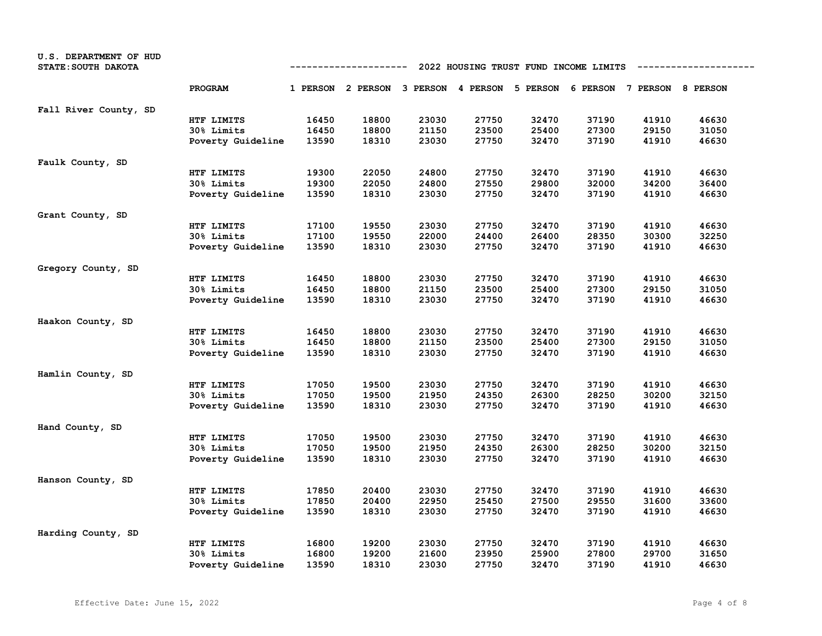| U.S. DEPARTMENT OF HUD<br>STATE: SOUTH DAKOTA |                   | 2022 HOUSING TRUST FUND INCOME LIMITS<br>---------- |                                                                         |       |       |       |       |       |       |  |
|-----------------------------------------------|-------------------|-----------------------------------------------------|-------------------------------------------------------------------------|-------|-------|-------|-------|-------|-------|--|
|                                               | PROGRAM           |                                                     | 1 PERSON 2 PERSON 3 PERSON 4 PERSON 5 PERSON 6 PERSON 7 PERSON 8 PERSON |       |       |       |       |       |       |  |
| Fall River County, SD                         |                   |                                                     |                                                                         |       |       |       |       |       |       |  |
|                                               | HTF LIMITS        | 16450                                               | 18800                                                                   | 23030 | 27750 | 32470 | 37190 | 41910 | 46630 |  |
|                                               | 30% Limits        | 16450                                               | 18800                                                                   | 21150 | 23500 | 25400 | 27300 | 29150 | 31050 |  |
|                                               | Poverty Guideline | 13590                                               | 18310                                                                   | 23030 | 27750 | 32470 | 37190 | 41910 | 46630 |  |
| Faulk County, SD                              |                   |                                                     |                                                                         |       |       |       |       |       |       |  |
|                                               | HTF LIMITS        | 19300                                               | 22050                                                                   | 24800 | 27750 | 32470 | 37190 | 41910 | 46630 |  |
|                                               | 30% Limits        | 19300                                               | 22050                                                                   | 24800 | 27550 | 29800 | 32000 | 34200 | 36400 |  |
|                                               | Poverty Guideline | 13590                                               | 18310                                                                   | 23030 | 27750 | 32470 | 37190 | 41910 | 46630 |  |
| Grant County, SD                              |                   |                                                     |                                                                         |       |       |       |       |       |       |  |
|                                               | HTF LIMITS        | 17100                                               | 19550                                                                   | 23030 | 27750 | 32470 | 37190 | 41910 | 46630 |  |
|                                               | 30% Limits        | 17100                                               | 19550                                                                   | 22000 | 24400 | 26400 | 28350 | 30300 | 32250 |  |
|                                               | Poverty Guideline | 13590                                               | 18310                                                                   | 23030 | 27750 | 32470 | 37190 | 41910 | 46630 |  |
| Gregory County, SD                            |                   |                                                     |                                                                         |       |       |       |       |       |       |  |
|                                               | HTF LIMITS        | 16450                                               | 18800                                                                   | 23030 | 27750 | 32470 | 37190 | 41910 | 46630 |  |
|                                               | 30% Limits        | 16450                                               | 18800                                                                   | 21150 | 23500 | 25400 | 27300 | 29150 | 31050 |  |
|                                               | Poverty Guideline | 13590                                               | 18310                                                                   | 23030 | 27750 | 32470 | 37190 | 41910 | 46630 |  |
| Haakon County, SD                             |                   |                                                     |                                                                         |       |       |       |       |       |       |  |
|                                               | HTF LIMITS        | 16450                                               | 18800                                                                   | 23030 | 27750 | 32470 | 37190 | 41910 | 46630 |  |
|                                               | 30% Limits        | 16450                                               | 18800                                                                   | 21150 | 23500 | 25400 | 27300 | 29150 | 31050 |  |
|                                               | Poverty Guideline | 13590                                               | 18310                                                                   | 23030 | 27750 | 32470 | 37190 | 41910 | 46630 |  |
| Hamlin County, SD                             |                   |                                                     |                                                                         |       |       |       |       |       |       |  |
|                                               | HTF LIMITS        | 17050                                               | 19500                                                                   | 23030 | 27750 | 32470 | 37190 | 41910 | 46630 |  |
|                                               | 30% Limits        | 17050                                               | 19500                                                                   | 21950 | 24350 | 26300 | 28250 | 30200 | 32150 |  |
|                                               | Poverty Guideline | 13590                                               | 18310                                                                   | 23030 | 27750 | 32470 | 37190 | 41910 | 46630 |  |
| Hand County, SD                               |                   |                                                     |                                                                         |       |       |       |       |       |       |  |
|                                               | HTF LIMITS        | 17050                                               | 19500                                                                   | 23030 | 27750 | 32470 | 37190 | 41910 | 46630 |  |
|                                               | 30% Limits        | 17050                                               | 19500                                                                   | 21950 | 24350 | 26300 | 28250 | 30200 | 32150 |  |
|                                               | Poverty Guideline | 13590                                               | 18310                                                                   | 23030 | 27750 | 32470 | 37190 | 41910 | 46630 |  |
| Hanson County, SD                             |                   |                                                     |                                                                         |       |       |       |       |       |       |  |
|                                               | HTF LIMITS        | 17850                                               | 20400                                                                   | 23030 | 27750 | 32470 | 37190 | 41910 | 46630 |  |
|                                               | 30% Limits        | 17850                                               | 20400                                                                   | 22950 | 25450 | 27500 | 29550 | 31600 | 33600 |  |
|                                               | Poverty Guideline | 13590                                               | 18310                                                                   | 23030 | 27750 | 32470 | 37190 | 41910 | 46630 |  |
| Harding County, SD                            |                   |                                                     |                                                                         |       |       |       |       |       |       |  |
|                                               | HTF LIMITS        | 16800                                               | 19200                                                                   | 23030 | 27750 | 32470 | 37190 | 41910 | 46630 |  |
|                                               | 30% Limits        | 16800                                               | 19200                                                                   | 21600 | 23950 | 25900 | 27800 | 29700 | 31650 |  |
|                                               | Poverty Guideline | 13590                                               | 18310                                                                   | 23030 | 27750 | 32470 | 37190 | 41910 | 46630 |  |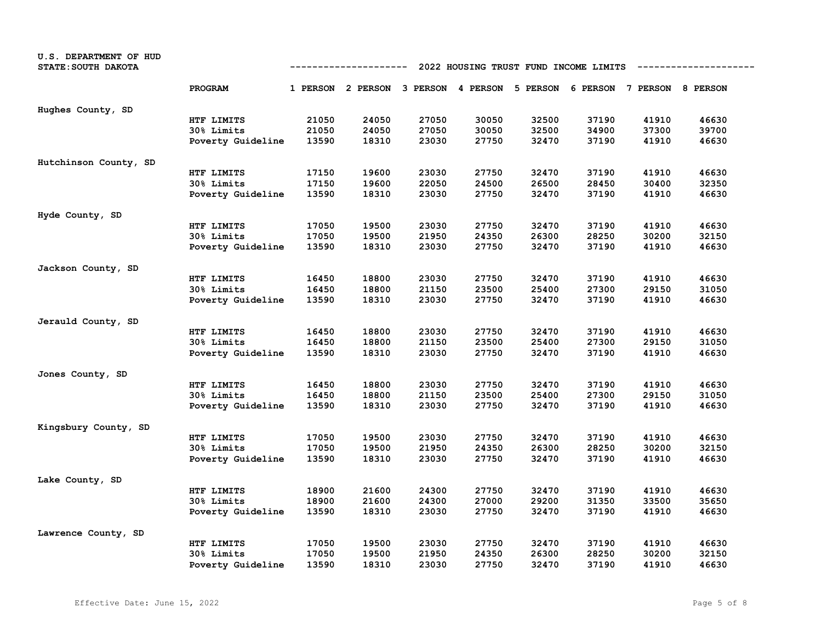| U.S. DEPARTMENT OF HUD<br>STATE: SOUTH DAKOTA |                   | 2022 HOUSING TRUST FUND INCOME LIMITS<br>---------- |                                                                         |       |       |       |       |       |       |  |
|-----------------------------------------------|-------------------|-----------------------------------------------------|-------------------------------------------------------------------------|-------|-------|-------|-------|-------|-------|--|
|                                               | PROGRAM           |                                                     | 1 PERSON 2 PERSON 3 PERSON 4 PERSON 5 PERSON 6 PERSON 7 PERSON 8 PERSON |       |       |       |       |       |       |  |
| Hughes County, SD                             |                   |                                                     |                                                                         |       |       |       |       |       |       |  |
|                                               | HTF LIMITS        | 21050                                               | 24050                                                                   | 27050 | 30050 | 32500 | 37190 | 41910 | 46630 |  |
|                                               | 30% Limits        | 21050                                               | 24050                                                                   | 27050 | 30050 | 32500 | 34900 | 37300 | 39700 |  |
|                                               | Poverty Guideline | 13590                                               | 18310                                                                   | 23030 | 27750 | 32470 | 37190 | 41910 | 46630 |  |
| Hutchinson County, SD                         |                   |                                                     |                                                                         |       |       |       |       |       |       |  |
|                                               | HTF LIMITS        | 17150                                               | 19600                                                                   | 23030 | 27750 | 32470 | 37190 | 41910 | 46630 |  |
|                                               | 30% Limits        | 17150                                               | 19600                                                                   | 22050 | 24500 | 26500 | 28450 | 30400 | 32350 |  |
|                                               | Poverty Guideline | 13590                                               | 18310                                                                   | 23030 | 27750 | 32470 | 37190 | 41910 | 46630 |  |
| Hyde County, SD                               |                   |                                                     |                                                                         |       |       |       |       |       |       |  |
|                                               | HTF LIMITS        | 17050                                               | 19500                                                                   | 23030 | 27750 | 32470 | 37190 | 41910 | 46630 |  |
|                                               | 30% Limits        | 17050                                               | 19500                                                                   | 21950 | 24350 | 26300 | 28250 | 30200 | 32150 |  |
|                                               | Poverty Guideline | 13590                                               | 18310                                                                   | 23030 | 27750 | 32470 | 37190 | 41910 | 46630 |  |
| Jackson County, SD                            |                   |                                                     |                                                                         |       |       |       |       |       |       |  |
|                                               | HTF LIMITS        | 16450                                               | 18800                                                                   | 23030 | 27750 | 32470 | 37190 | 41910 | 46630 |  |
|                                               | 30% Limits        | 16450                                               | 18800                                                                   | 21150 | 23500 | 25400 | 27300 | 29150 | 31050 |  |
|                                               | Poverty Guideline | 13590                                               | 18310                                                                   | 23030 | 27750 | 32470 | 37190 | 41910 | 46630 |  |
| Jerauld County, SD                            |                   |                                                     |                                                                         |       |       |       |       |       |       |  |
|                                               | HTF LIMITS        | 16450                                               | 18800                                                                   | 23030 | 27750 | 32470 | 37190 | 41910 | 46630 |  |
|                                               | 30% Limits        | 16450                                               | 18800                                                                   | 21150 | 23500 | 25400 | 27300 | 29150 | 31050 |  |
|                                               | Poverty Guideline | 13590                                               | 18310                                                                   | 23030 | 27750 | 32470 | 37190 | 41910 | 46630 |  |
| Jones County, SD                              |                   |                                                     |                                                                         |       |       |       |       |       |       |  |
|                                               | HTF LIMITS        | 16450                                               | 18800                                                                   | 23030 | 27750 | 32470 | 37190 | 41910 | 46630 |  |
|                                               | 30% Limits        | 16450                                               | 18800                                                                   | 21150 | 23500 | 25400 | 27300 | 29150 | 31050 |  |
|                                               | Poverty Guideline | 13590                                               | 18310                                                                   | 23030 | 27750 | 32470 | 37190 | 41910 | 46630 |  |
| Kingsbury County, SD                          |                   |                                                     |                                                                         |       |       |       |       |       |       |  |
|                                               | HTF LIMITS        | 17050                                               | 19500                                                                   | 23030 | 27750 | 32470 | 37190 | 41910 | 46630 |  |
|                                               | 30% Limits        | 17050                                               | 19500                                                                   | 21950 | 24350 | 26300 | 28250 | 30200 | 32150 |  |
|                                               | Poverty Guideline | 13590                                               | 18310                                                                   | 23030 | 27750 | 32470 | 37190 | 41910 | 46630 |  |
| Lake County, SD                               |                   |                                                     |                                                                         |       |       |       |       |       |       |  |
|                                               | HTF LIMITS        | 18900                                               | 21600                                                                   | 24300 | 27750 | 32470 | 37190 | 41910 | 46630 |  |
|                                               | 30% Limits        | 18900                                               | 21600                                                                   | 24300 | 27000 | 29200 | 31350 | 33500 | 35650 |  |
|                                               | Poverty Guideline | 13590                                               | 18310                                                                   | 23030 | 27750 | 32470 | 37190 | 41910 | 46630 |  |
| Lawrence County, SD                           |                   |                                                     |                                                                         |       |       |       |       |       |       |  |
|                                               | HTF LIMITS        | 17050                                               | 19500                                                                   | 23030 | 27750 | 32470 | 37190 | 41910 | 46630 |  |
|                                               | 30% Limits        | 17050                                               | 19500                                                                   | 21950 | 24350 | 26300 | 28250 | 30200 | 32150 |  |
|                                               | Poverty Guideline | 13590                                               | 18310                                                                   | 23030 | 27750 | 32470 | 37190 | 41910 | 46630 |  |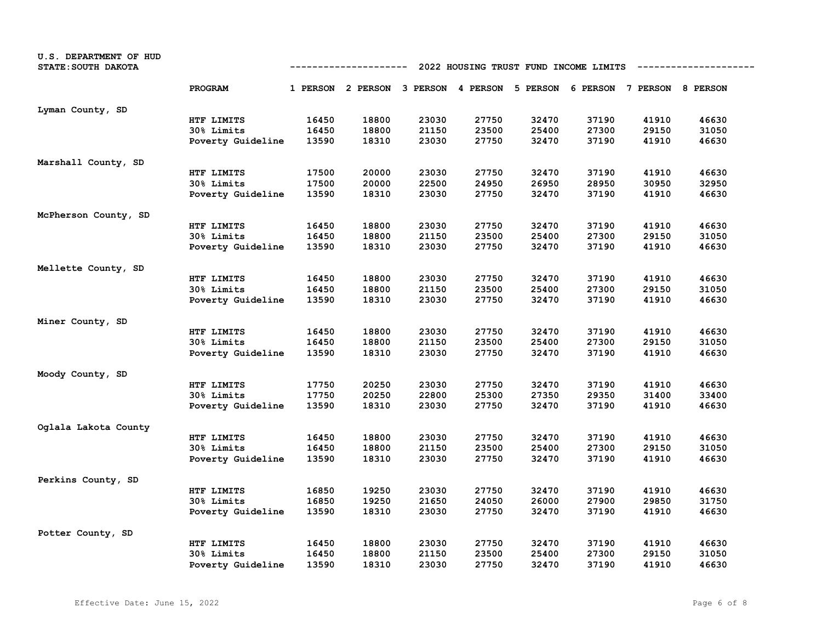| U.S. DEPARTMENT OF HUD<br>STATE: SOUTH DAKOTA |                   | 2022 HOUSING TRUST FUND INCOME LIMITS<br>----------- |                                                                         |       |       |       |       |       |       |  |
|-----------------------------------------------|-------------------|------------------------------------------------------|-------------------------------------------------------------------------|-------|-------|-------|-------|-------|-------|--|
|                                               | PROGRAM           |                                                      | 1 PERSON 2 PERSON 3 PERSON 4 PERSON 5 PERSON 6 PERSON 7 PERSON 8 PERSON |       |       |       |       |       |       |  |
| Lyman County, SD                              |                   |                                                      |                                                                         |       |       |       |       |       |       |  |
|                                               | HTF LIMITS        | 16450                                                | 18800                                                                   | 23030 | 27750 | 32470 | 37190 | 41910 | 46630 |  |
|                                               | 30% Limits        | 16450                                                | 18800                                                                   | 21150 | 23500 | 25400 | 27300 | 29150 | 31050 |  |
|                                               | Poverty Guideline | 13590                                                | 18310                                                                   | 23030 | 27750 | 32470 | 37190 | 41910 | 46630 |  |
| Marshall County, SD                           |                   |                                                      |                                                                         |       |       |       |       |       |       |  |
|                                               | HTF LIMITS        | 17500                                                | 20000                                                                   | 23030 | 27750 | 32470 | 37190 | 41910 | 46630 |  |
|                                               | 30% Limits        | 17500                                                | 20000                                                                   | 22500 | 24950 | 26950 | 28950 | 30950 | 32950 |  |
|                                               | Poverty Guideline | 13590                                                | 18310                                                                   | 23030 | 27750 | 32470 | 37190 | 41910 | 46630 |  |
| McPherson County, SD                          |                   |                                                      |                                                                         |       |       |       |       |       |       |  |
|                                               | HTF LIMITS        | 16450                                                | 18800                                                                   | 23030 | 27750 | 32470 | 37190 | 41910 | 46630 |  |
|                                               | 30% Limits        | 16450                                                | 18800                                                                   | 21150 | 23500 | 25400 | 27300 | 29150 | 31050 |  |
|                                               | Poverty Guideline | 13590                                                | 18310                                                                   | 23030 | 27750 | 32470 | 37190 | 41910 | 46630 |  |
| Mellette County, SD                           |                   |                                                      |                                                                         |       |       |       |       |       |       |  |
|                                               | HTF LIMITS        | 16450                                                | 18800                                                                   | 23030 | 27750 | 32470 | 37190 | 41910 | 46630 |  |
|                                               | 30% Limits        | 16450                                                | 18800                                                                   | 21150 | 23500 | 25400 | 27300 | 29150 | 31050 |  |
|                                               | Poverty Guideline | 13590                                                | 18310                                                                   | 23030 | 27750 | 32470 | 37190 | 41910 | 46630 |  |
| Miner County, SD                              |                   |                                                      |                                                                         |       |       |       |       |       |       |  |
|                                               | HTF LIMITS        | 16450                                                | 18800                                                                   | 23030 | 27750 | 32470 | 37190 | 41910 | 46630 |  |
|                                               | 30% Limits        | 16450                                                | 18800                                                                   | 21150 | 23500 | 25400 | 27300 | 29150 | 31050 |  |
|                                               | Poverty Guideline | 13590                                                | 18310                                                                   | 23030 | 27750 | 32470 | 37190 | 41910 | 46630 |  |
| Moody County, SD                              |                   |                                                      |                                                                         |       |       |       |       |       |       |  |
|                                               | HTF LIMITS        | 17750                                                | 20250                                                                   | 23030 | 27750 | 32470 | 37190 | 41910 | 46630 |  |
|                                               | 30% Limits        | 17750                                                | 20250                                                                   | 22800 | 25300 | 27350 | 29350 | 31400 | 33400 |  |
|                                               | Poverty Guideline | 13590                                                | 18310                                                                   | 23030 | 27750 | 32470 | 37190 | 41910 | 46630 |  |
| Oglala Lakota County                          |                   |                                                      |                                                                         |       |       |       |       |       |       |  |
|                                               | HTF LIMITS        | 16450                                                | 18800                                                                   | 23030 | 27750 | 32470 | 37190 | 41910 | 46630 |  |
|                                               | 30% Limits        | 16450                                                | 18800                                                                   | 21150 | 23500 | 25400 | 27300 | 29150 | 31050 |  |
|                                               | Poverty Guideline | 13590                                                | 18310                                                                   | 23030 | 27750 | 32470 | 37190 | 41910 | 46630 |  |
| Perkins County, SD                            |                   |                                                      |                                                                         |       |       |       |       |       |       |  |
|                                               | HTF LIMITS        | 16850                                                | 19250                                                                   | 23030 | 27750 | 32470 | 37190 | 41910 | 46630 |  |
|                                               | 30% Limits        | 16850                                                | 19250                                                                   | 21650 | 24050 | 26000 | 27900 | 29850 | 31750 |  |
|                                               | Poverty Guideline | 13590                                                | 18310                                                                   | 23030 | 27750 | 32470 | 37190 | 41910 | 46630 |  |
| Potter County, SD                             |                   |                                                      |                                                                         |       |       |       |       |       |       |  |
|                                               | HTF LIMITS        | 16450                                                | 18800                                                                   | 23030 | 27750 | 32470 | 37190 | 41910 | 46630 |  |
|                                               | 30% Limits        | 16450                                                | 18800                                                                   | 21150 | 23500 | 25400 | 27300 | 29150 | 31050 |  |
|                                               | Poverty Guideline | 13590                                                | 18310                                                                   | 23030 | 27750 | 32470 | 37190 | 41910 | 46630 |  |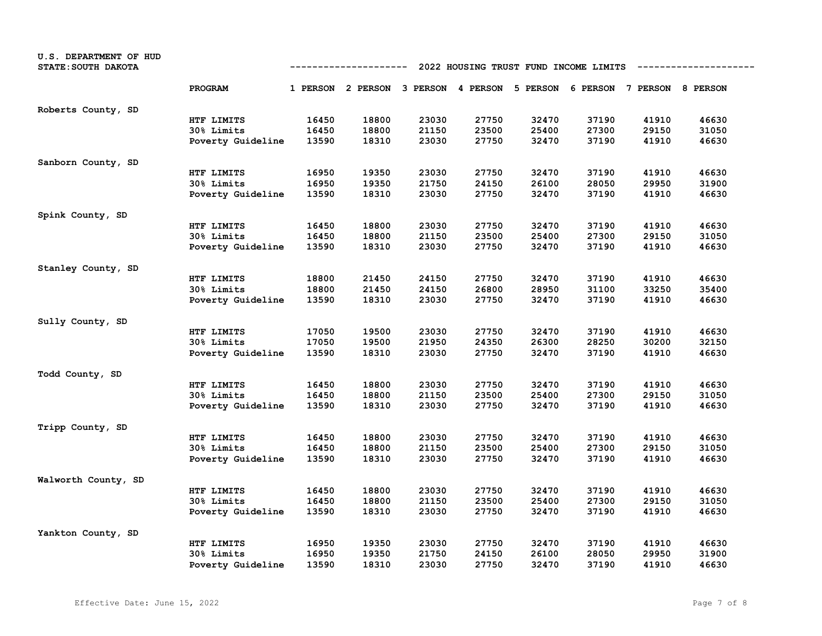| U.S. DEPARTMENT OF HUD<br>STATE: SOUTH DAKOTA |                   | 2022 HOUSING TRUST FUND INCOME LIMITS<br>------------- |                                                                         |       |       |       |       |       |       |  |
|-----------------------------------------------|-------------------|--------------------------------------------------------|-------------------------------------------------------------------------|-------|-------|-------|-------|-------|-------|--|
|                                               | PROGRAM           |                                                        | 1 PERSON 2 PERSON 3 PERSON 4 PERSON 5 PERSON 6 PERSON 7 PERSON 8 PERSON |       |       |       |       |       |       |  |
| Roberts County, SD                            |                   |                                                        |                                                                         |       |       |       |       |       |       |  |
|                                               | HTF LIMITS        | 16450                                                  | 18800                                                                   | 23030 | 27750 | 32470 | 37190 | 41910 | 46630 |  |
|                                               | 30% Limits        | 16450                                                  | 18800                                                                   | 21150 | 23500 | 25400 | 27300 | 29150 | 31050 |  |
|                                               | Poverty Guideline | 13590                                                  | 18310                                                                   | 23030 | 27750 | 32470 | 37190 | 41910 | 46630 |  |
| Sanborn County, SD                            |                   |                                                        |                                                                         |       |       |       |       |       |       |  |
|                                               | HTF LIMITS        | 16950                                                  | 19350                                                                   | 23030 | 27750 | 32470 | 37190 | 41910 | 46630 |  |
|                                               | 30% Limits        | 16950                                                  | 19350                                                                   | 21750 | 24150 | 26100 | 28050 | 29950 | 31900 |  |
|                                               | Poverty Guideline | 13590                                                  | 18310                                                                   | 23030 | 27750 | 32470 | 37190 | 41910 | 46630 |  |
| Spink County, SD                              |                   |                                                        |                                                                         |       |       |       |       |       |       |  |
|                                               | HTF LIMITS        | 16450                                                  | 18800                                                                   | 23030 | 27750 | 32470 | 37190 | 41910 | 46630 |  |
|                                               | <b>30% Limits</b> | 16450                                                  | 18800                                                                   | 21150 | 23500 | 25400 | 27300 | 29150 | 31050 |  |
|                                               | Poverty Guideline | 13590                                                  | 18310                                                                   | 23030 | 27750 | 32470 | 37190 | 41910 | 46630 |  |
| Stanley County, SD                            |                   |                                                        |                                                                         |       |       |       |       |       |       |  |
|                                               | HTF LIMITS        | 18800                                                  | 21450                                                                   | 24150 | 27750 | 32470 | 37190 | 41910 | 46630 |  |
|                                               | 30% Limits        | 18800                                                  | 21450                                                                   | 24150 | 26800 | 28950 | 31100 | 33250 | 35400 |  |
|                                               | Poverty Guideline | 13590                                                  | 18310                                                                   | 23030 | 27750 | 32470 | 37190 | 41910 | 46630 |  |
| Sully County, SD                              |                   |                                                        |                                                                         |       |       |       |       |       |       |  |
|                                               | HTF LIMITS        | 17050                                                  | 19500                                                                   | 23030 | 27750 | 32470 | 37190 | 41910 | 46630 |  |
|                                               | 30% Limits        | 17050                                                  | 19500                                                                   | 21950 | 24350 | 26300 | 28250 | 30200 | 32150 |  |
|                                               | Poverty Guideline | 13590                                                  | 18310                                                                   | 23030 | 27750 | 32470 | 37190 | 41910 | 46630 |  |
| Todd County, SD                               |                   |                                                        |                                                                         |       |       |       |       |       |       |  |
|                                               | HTF LIMITS        | 16450                                                  | 18800                                                                   | 23030 | 27750 | 32470 | 37190 | 41910 | 46630 |  |
|                                               | 30% Limits        | 16450                                                  | 18800                                                                   | 21150 | 23500 | 25400 | 27300 | 29150 | 31050 |  |
|                                               | Poverty Guideline | 13590                                                  | 18310                                                                   | 23030 | 27750 | 32470 | 37190 | 41910 | 46630 |  |
| Tripp County, SD                              |                   |                                                        |                                                                         |       |       |       |       |       |       |  |
|                                               | HTF LIMITS        | 16450                                                  | 18800                                                                   | 23030 | 27750 | 32470 | 37190 | 41910 | 46630 |  |
|                                               | 30% Limits        | 16450                                                  | 18800                                                                   | 21150 | 23500 | 25400 | 27300 | 29150 | 31050 |  |
|                                               | Poverty Guideline | 13590                                                  | 18310                                                                   | 23030 | 27750 | 32470 | 37190 | 41910 | 46630 |  |
| Walworth County, SD                           |                   |                                                        |                                                                         |       |       |       |       |       |       |  |
|                                               | HTF LIMITS        | 16450                                                  | 18800                                                                   | 23030 | 27750 | 32470 | 37190 | 41910 | 46630 |  |
|                                               | 30% Limits        | 16450                                                  | 18800                                                                   | 21150 | 23500 | 25400 | 27300 | 29150 | 31050 |  |
|                                               | Poverty Guideline | 13590                                                  | 18310                                                                   | 23030 | 27750 | 32470 | 37190 | 41910 | 46630 |  |
| Yankton County, SD                            |                   |                                                        |                                                                         |       |       |       |       |       |       |  |
|                                               | HTF LIMITS        | 16950                                                  | 19350                                                                   | 23030 | 27750 | 32470 | 37190 | 41910 | 46630 |  |
|                                               | <b>30% Limits</b> | 16950                                                  | 19350                                                                   | 21750 | 24150 | 26100 | 28050 | 29950 | 31900 |  |
|                                               | Poverty Guideline | 13590                                                  | 18310                                                                   | 23030 | 27750 | 32470 | 37190 | 41910 | 46630 |  |